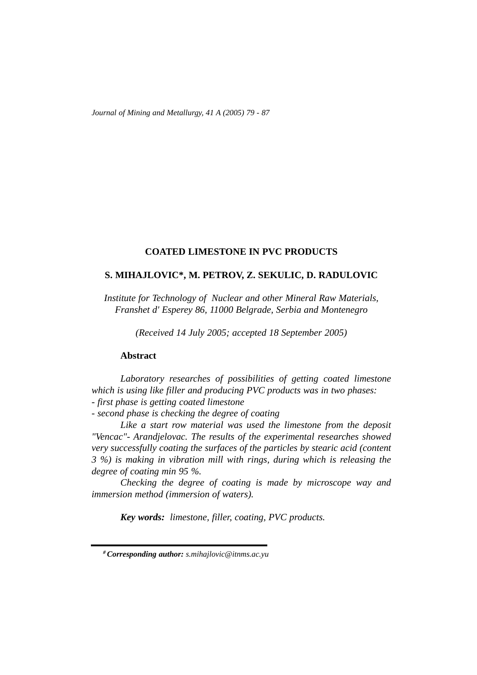# **COATED LIMESTONE IN PVC PRODUCTS**

# **S. MIHAJLOVIC\*, M. PETROV, Z. SEKULIC, D. RADULOVIC**

*Institute for Technology of Nuclear and other Mineral Raw Materials, Franshet d' Esperey 86, 11000 Belgrade, Serbia and Montenegro* 

*(Received 14 July 2005; accepted 18 September 2005)*

#### **Abstract**

*Laboratory researches of possibilities of getting coated limestone which is using like filler and producing PVC products was in two phases: - first phase is getting coated limestone*

*- second phase is checking the degree of coating*

*Like a start row material was used the limestone from the deposit "Vencac"- Arandjelovac. The results of the experimental researches showed very successfully coating the surfaces of the particles by stearic acid (content 3 %) is making in vibration mill with rings, during which is releasing the degree of coating min 95 %.*

*Checking the degree of coating is made by microscope way and immersion method (immersion of waters).*

*Key words: limestone, filler, coating, PVC products.*

*<sup>#</sup> Corresponding author: s.mihajlovic@itnms.ac.yu*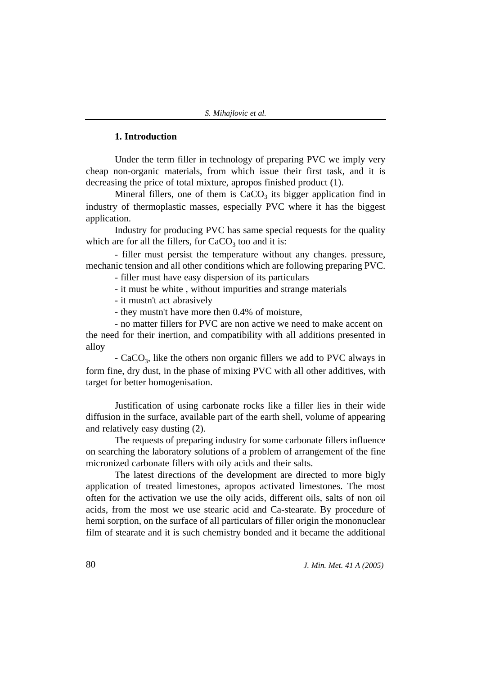# **1. Introduction**

Under the term filler in technology of preparing PVC we imply very cheap non-organic materials, from which issue their first task, and it is decreasing the price of total mixture, apropos finished product (1).

Mineral fillers, one of them is  $CaCO<sub>3</sub>$  its bigger application find in industry of thermoplastic masses, especially PVC where it has the biggest application.

Industry for producing PVC has same special requests for the quality which are for all the fillers, for  $CaCO<sub>3</sub>$  too and it is:

- filler must persist the temperature without any changes. pressure, mechanic tension and all other conditions which are following preparing PVC.

- filler must have easy dispersion of its particulars

- it must be white , without impurities and strange materials

- it mustn't act abrasively

- they mustn't have more then 0.4% of moisture,

- no matter fillers for PVC are non active we need to make accent on the need for their inertion, and compatibility with all additions presented in alloy

 $-$  CaCO<sub>3</sub>, like the others non organic fillers we add to PVC always in form fine, dry dust, in the phase of mixing PVC with all other additives, with target for better homogenisation.

Justification of using carbonate rocks like a filler lies in their wide diffusion in the surface, available part of the earth shell, volume of appearing and relatively easy dusting (2).

The requests of preparing industry for some carbonate fillers influence on searching the laboratory solutions of a problem of arrangement of the fine micronized carbonate fillers with oily acids and their salts.

The latest directions of the development are directed to more bigly application of treated limestones, apropos activated limestones. The most often for the activation we use the oily acids, different oils, salts of non oil acids, from the most we use stearic acid and Ca-stearate. By procedure of hemi sorption, on the surface of all particulars of filler origin the mononuclear film of stearate and it is such chemistry bonded and it became the additional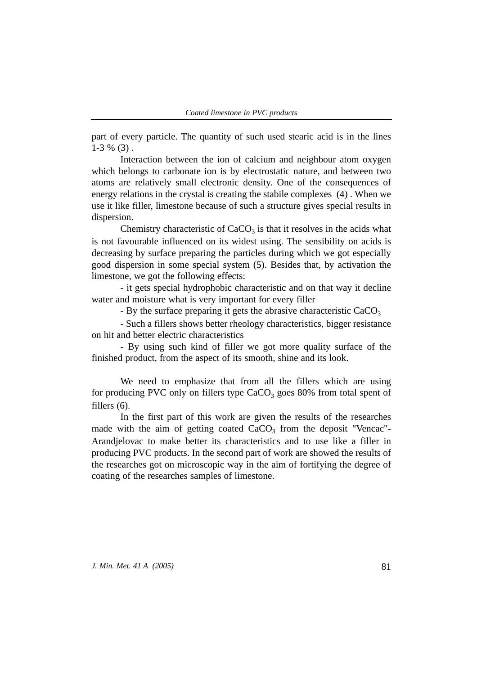part of every particle. The quantity of such used stearic acid is in the lines  $1-3\%$  (3).

Interaction between the ion of calcium and neighbour atom oxygen which belongs to carbonate ion is by electrostatic nature, and between two atoms are relatively small electronic density. One of the consequences of energy relations in the crystal is creating the stabile complexes (4) . When we use it like filler, limestone because of such a structure gives special results in dispersion.

Chemistry characteristic of  $CaCO<sub>3</sub>$  is that it resolves in the acids what is not favourable influenced on its widest using. The sensibility on acids is decreasing by surface preparing the particles during which we got especially good dispersion in some special system (5). Besides that, by activation the limestone, we got the following effects:

- it gets special hydrophobic characteristic and on that way it decline water and moisture what is very important for every filler

 $-$  By the surface preparing it gets the abrasive characteristic CaCO<sub>3</sub>

- Such a fillers shows better rheology characteristics, bigger resistance on hit and better electric characteristics

- By using such kind of filler we got more quality surface of the finished product, from the aspect of its smooth, shine and its look.

We need to emphasize that from all the fillers which are using for producing PVC only on fillers type  $CaCO<sub>3</sub>$  goes 80% from total spent of fillers (6).

In the first part of this work are given the results of the researches made with the aim of getting coated  $CaCO<sub>3</sub>$  from the deposit "Vencac"-Arandjelovac to make better its characteristics and to use like a filler in producing PVC products. In the second part of work are showed the results of the researches got on microscopic way in the aim of fortifying the degree of coating of the researches samples of limestone.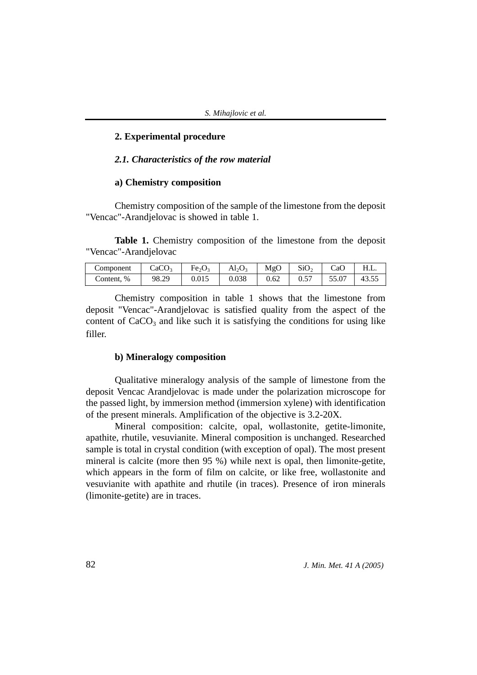### **2. Experimental procedure**

#### *2.1. Characteristics of the row material*

#### **a) Chemistry composition**

Chemistry composition of the sample of the limestone from the deposit "Vencac"-Arandjelovac is showed in table 1.

**Table 1.** Chemistry composition of the limestone from the deposit "Vencac"-Arandjelovac

| Component  | CaCO <sub>3</sub> | Fe <sub>2</sub> O <sub>3</sub> | $Al_2O_3$ | MgO  | SiO <sub>2</sub> | CaO   |       |
|------------|-------------------|--------------------------------|-----------|------|------------------|-------|-------|
| Content, % | 98.29             | 0.015                          | 0.038     | 0.62 | 0.57             | 55.07 | 43.55 |

Chemistry composition in table 1 shows that the limestone from deposit "Vencac"-Arandjelovac is satisfied quality from the aspect of the content of  $CaCO<sub>3</sub>$  and like such it is satisfying the conditions for using like filler.

#### **b) Mineralogy composition**

Qualitative mineralogy analysis of the sample of limestone from the deposit Vencac Arandjelovac is made under the polarization microscope for the passed light, by immersion method (immersion xylene) with identification of the present minerals. Amplification of the objective is 3.2-20X.

Mineral composition: calcite, opal, wollastonite, getite-limonite, apathite, rhutile, vesuvianite. Mineral composition is unchanged. Researched sample is total in crystal condition (with exception of opal). The most present mineral is calcite (more then 95 %) while next is opal, then limonite-getite, which appears in the form of film on calcite, or like free, wollastonite and vesuvianite with apathite and rhutile (in traces). Presence of iron minerals (limonite-getite) are in traces.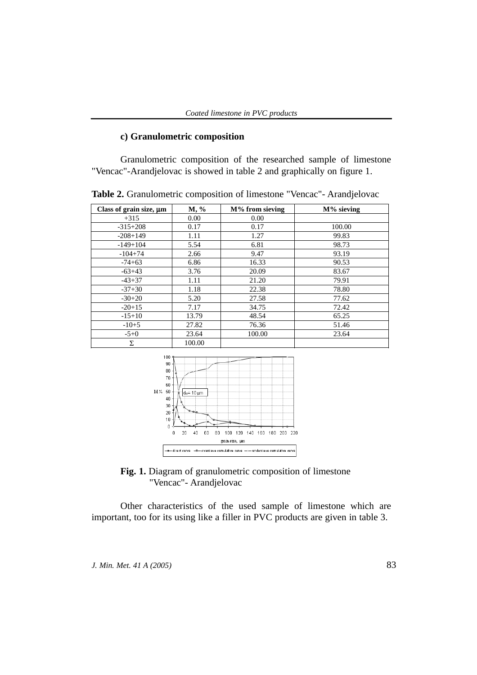# **c) Granulometric composition**

Granulometric composition of the researched sample of limestone "Vencac"-Arandjelovac is showed in table 2 and graphically on figure 1.

| Class of grain size, $\mu$ m | M, %   | M% from sieving | $M\%$ sieving |
|------------------------------|--------|-----------------|---------------|
| $+315$                       | 0.00   | 0.00            |               |
| $-315+208$                   | 0.17   | 0.17            | 100.00        |
| $-208+149$                   | 1.11   | 1.27            | 99.83         |
| $-149+104$                   | 5.54   | 6.81            | 98.73         |
| $-104 + 74$                  | 2.66   | 9.47            | 93.19         |
| $-74+63$                     | 6.86   | 16.33           | 90.53         |
| $-63+43$                     | 3.76   | 20.09           | 83.67         |
| $-43+37$                     | 1.11   | 21.20           | 79.91         |
| $-37+30$                     | 1.18   | 22.38           | 78.80         |
| $-30+20$                     | 5.20   | 27.58           | 77.62         |
| $-20+15$                     | 7.17   | 34.75           | 72.42         |
| $-15+10$                     | 13.79  | 48.54           | 65.25         |
| $-10+5$                      | 27.82  | 76.36           | 51.46         |
| $-5+0$                       | 23.64  | 100.00          | 23.64         |
| Σ                            | 100.00 |                 |               |

**Table 2.** Granulometric composition of limestone "Vencac"- Arandjelovac





Other characteristics of the used sample of limestone which are important, too for its using like a filler in PVC products are given in table 3.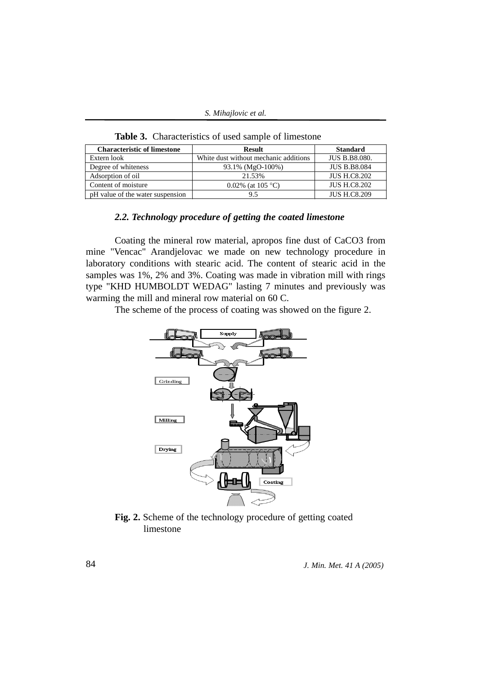| <b>Characteristic of limestone</b> | <b>Result</b>                         | <b>Standard</b>      |  |
|------------------------------------|---------------------------------------|----------------------|--|
| Extern look                        | White dust without mechanic additions | <b>JUS B.B8.080.</b> |  |
| Degree of whiteness                | 93.1% (MgO-100%)                      | <b>JUS B.B8.084</b>  |  |
| Adsorption of oil                  | 21.53%                                | <b>JUS H.C8.202</b>  |  |
| Content of moisture                | 0.02% (at 105 °C)                     | <b>JUS H.C8.202</b>  |  |
| pH value of the water suspension   | 9.5                                   | <b>JUS H.C8.209</b>  |  |

Table 3. Characteristics of used sample of limestone

# *2.2. Technology procedure of getting the coated limestone*

Coating the mineral row material, apropos fine dust of CaCO3 from mine "Vencac" Arandjelovac we made on new technology procedure in laboratory conditions with stearic acid. The content of stearic acid in the samples was 1%, 2% and 3%. Coating was made in vibration mill with rings type "KHD HUMBOLDT WEDAG" lasting 7 minutes and previously was warming the mill and mineral row material on 60 C.

The scheme of the process of coating was showed on the figure 2.



**Fig. 2.** Scheme of the technology procedure of getting coated limestone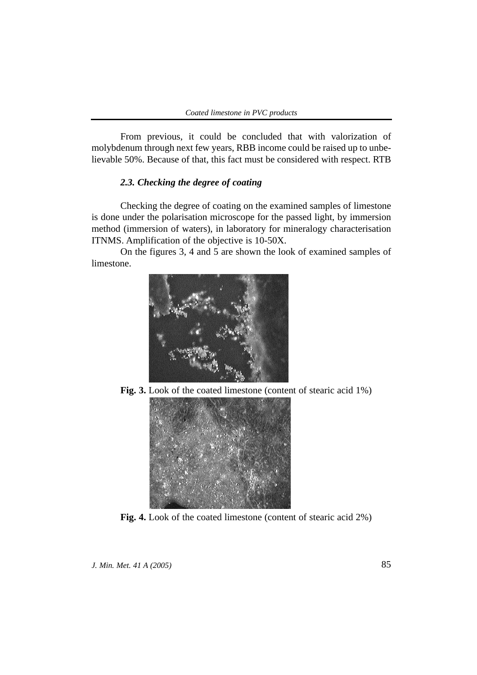From previous, it could be concluded that with valorization of molybdenum through next few years, RBB income could be raised up to unbelievable 50%. Because of that, this fact must be considered with respect. RTB

## *2.3. Checking the degree of coating*

Checking the degree of coating on the examined samples of limestone is done under the polarisation microscope for the passed light, by immersion method (immersion of waters), in laboratory for mineralogy characterisation ITNMS. Amplification of the objective is 10-50X.

On the figures 3, 4 and 5 are shown the look of examined samples of limestone.



Fig. 3. Look of the coated limestone (content of stearic acid 1%)



**Fig. 4.** Look of the coated limestone (content of stearic acid 2%)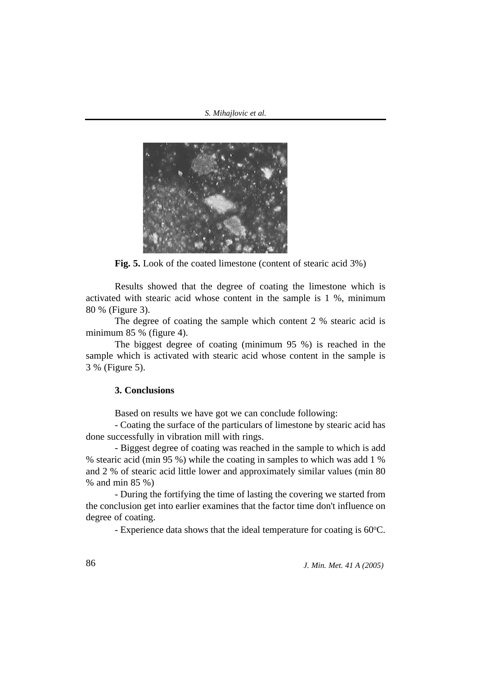*S. Mihajlovic et al.*



**Fig. 5.** Look of the coated limestone (content of stearic acid 3%)

Results showed that the degree of coating the limestone which is activated with stearic acid whose content in the sample is 1 %, minimum 80 % (Figure 3).

The degree of coating the sample which content 2 % stearic acid is minimum 85 % (figure 4).

The biggest degree of coating (minimum 95 %) is reached in the sample which is activated with stearic acid whose content in the sample is 3 % (Figure 5).

# **3. Conclusions**

Based on results we have got we can conclude following:

- Coating the surface of the particulars of limestone by stearic acid has done successfully in vibration mill with rings.

- Biggest degree of coating was reached in the sample to which is add % stearic acid (min 95 %) while the coating in samples to which was add 1 % and 2 % of stearic acid little lower and approximately similar values (min 80 % and min 85 %)

- During the fortifying the time of lasting the covering we started from the conclusion get into earlier examines that the factor time don't influence on degree of coating.

- Experience data shows that the ideal temperature for coating is 60°C.